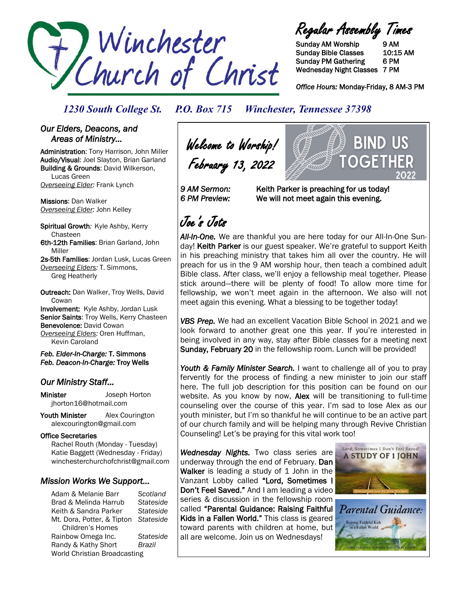

Regular Assembly Times

Sunday AM Worship 9 AM Sunday Bible Classes 10:15 AM Sunday PM Gathering 6 PM Wednesday Night Classes 7 PM

*Office Hours:* Monday-Friday, 8 AM-3 PM

OGF

BIND US

*1230 South College St. P.O. Box 715 Winchester, Tennessee 37398*

### *Our Elders, Deacons, and Areas of Ministry…*

Administration: Tony Harrison, John Miller Audio/Visual: Joel Slayton, Brian Garland Building & Grounds: David Wilkerson, Lucas Green *Overseeing Elder:* Frank Lynch

Missions: Dan Walker *Overseeing Elder:* John Kelley

Spiritual Growth*:* Kyle Ashby, Kerry Chasteen 6th-12th Families: Brian Garland, John

Miller 2s-5th Families: Jordan Lusk, Lucas Green *Overseeing Elders:* T. Simmons, Greg Heatherly

Outreach: Dan Walker, Troy Wells, David **Cowan** Involvement: Kyle Ashby, Jordan Lusk Senior Saints: Troy Wells, Kerry Chasteen Benevolence: David Cowan

*Overseeing Elders:* Oren Huffman, Kevin Caroland

*Feb. Elder-In-Charge:* T. Simmons *Feb. Deacon-In-Charge:* Troy Wells

### *Our Ministry Staff…*

Minister Joseph Horton jhorton16@hotmail.com

Youth Minister Alex Courington alexcourington@gmail.com

### Office Secretaries

 Rachel Routh (Monday - Tuesday) Katie Baggett (Wednesday - Friday) winchesterchurchofchrist@gmail.com

### *Mission Works We Support…*

Adam & Melanie Barr *Scotland* Brad & Melinda Harrub *Stateside* Keith & Sandra Parker *Stateside* Mt. Dora, Potter, & Tipton *Stateside* Children's Homes Rainbow Omega Inc. *Stateside* Randy & Kathy Short *Brazil* World Christian Broadcasting

Welcome to Worship! February 13, 2022



# Joe's Jots

*All-In-One.* We are thankful you are here today for our All-In-One Sunday! Keith Parker is our guest speaker. We're grateful to support Keith in his preaching ministry that takes him all over the country. He will preach for us in the 9 AM worship hour, then teach a combined adult Bible class. After class, we'll enjoy a fellowship meal together. Please stick around—there will be plenty of food! To allow more time for fellowship, we won't meet again in the afternoon. We also will not meet again this evening. What a blessing to be together today!

*VBS Prep.* We had an excellent Vacation Bible School in 2021 and we look forward to another great one this year. If you're interested in being involved in any way, stay after Bible classes for a meeting next Sunday, February 20 in the fellowship room. Lunch will be provided!

Youth & Family Minister Search. I want to challenge all of you to pray fervently for the process of finding a new minister to join our staff here. The full job description for this position can be found on our website. As you know by now, **Alex** will be transitioning to full-time counseling over the course of this year. I'm sad to lose Alex as our youth minister, but I'm so thankful he will continue to be an active part of our church family and will be helping many through Revive Christian Counseling! Let's be praying for this vital work too!

*Wednesday Nights.* Two class series are underway through the end of February. Dan Walker is leading a study of 1 John in the Vanzant Lobby called "Lord, Sometimes I Don't Feel Saved." And I am leading a video series & discussion in the fellowship room called "Parental Guidance: Raising Faithful Kids in a Fallen World." This class is geared toward parents with children at home, but all are welcome. Join us on Wednesdays!